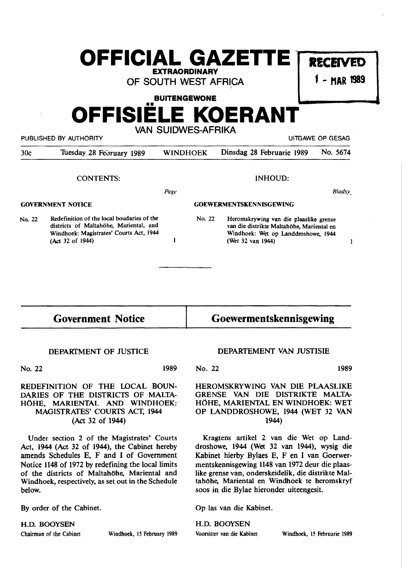## **OFFICIAL GAZETTE RECEIVED EXTRAORDINARY**

OF SOUTH WEST AFRICA

1 - **MAR 1989** 

#### **BUITENGEWONE**

# **OFFISIELE KOERANT**

PUBLISHED BY AUTHORITY **EXAMPLE ASSAULT AND AUTHORITY** AND RESAGE OF GESAGE OF GESAGE OF GESAGE OF GESAGE OF GESAG

VAN SUIDWES-AFRIKA

| 30c                      | Tuesday 28 February 1989                                                             | <b>WINDHOEK</b>                | Dinsdag 28 Februarie 1989                                                           | No. 5674      |
|--------------------------|--------------------------------------------------------------------------------------|--------------------------------|-------------------------------------------------------------------------------------|---------------|
|                          | <b>CONTENTS:</b>                                                                     |                                | INHOUD:                                                                             |               |
|                          |                                                                                      | Page                           |                                                                                     | <b>Bladsy</b> |
| <b>GOVERNMENT NOTICE</b> |                                                                                      | <b>GOEWERMENTSKENNISGEWING</b> |                                                                                     |               |
| No. 22                   | Redefinition of the local boudaries of the<br>districts of Maltahöhe, Mariental, and | No. 22                         | Heromskrywing van die plaaslike grense<br>van die distrikte Maltahöhe, Mariental en |               |

 $\mathbf{I}$ 

districts of Maltahohe, Mariental, and Windhoek: Magistrates' Courts Act, 1944 (Act 32 of 1944)

### Government Notice

#### DEPARTMENT OF JUSTICE

No. 22

1989

#### REDEFINITION OF THE IDCAL BOUN-DARIES OF THE DISTRICTS OF MALTA-HOHE, MARIENTAL AND WINDHOEK: MAGISTRATES' COURTS ACT, 1944 (Act 32 of 1944)

Under section 2 of the Magistrates' Courts Act, 1944 (Act 32 of 1944), the Cabinet hereby amends Schedules E, F and I of Government Notice 1148 of 1972 by redefining the local limits of the districts of Maltahöhe, Mariental and Windhoek, respectively, as set out in the Schedule below.

By order of the Cabinet.

H.D. BOOYSEN

Chairman of the Cabinet Windhoek, 15 February 1989

#### DEPARTEMENT VAN JUSTISIE

Goewermentskennisgewing

Windhoek: Wet op Landdroshowe, 1944

(Wet 32 van 1944)

No. 22 1989

 $\mathbf{1}$ 

HEROMSKRYWING VAN DIE PLAASLIKE GRENSE VAN DIE DISTRIKTE MALTA-HOHE, MARIENTAL EN WINDHOEK: WET OP LANDDROSHOWE, 1944 (WET 32 VAN 1944)

Kragtens artikel 2 van die Wet op Landdroshowe, 1944 (Wet 32 van 1944), wysig die Kabinet hierby Bylaes E, F en I van Goerwermentskennisgewing 1148 van 1972 deur die plaas~ like grense van, onderskeidelik, die distrikte Maltahöhe, Mariental en Windhoek te heromskryf soos in die Bylae hieronder uiteengesit.

Op las van die Kabinet.

H.D. BOOYSEN Voorsitter van die Kabinet Windhoek, 15 Februarie 1989